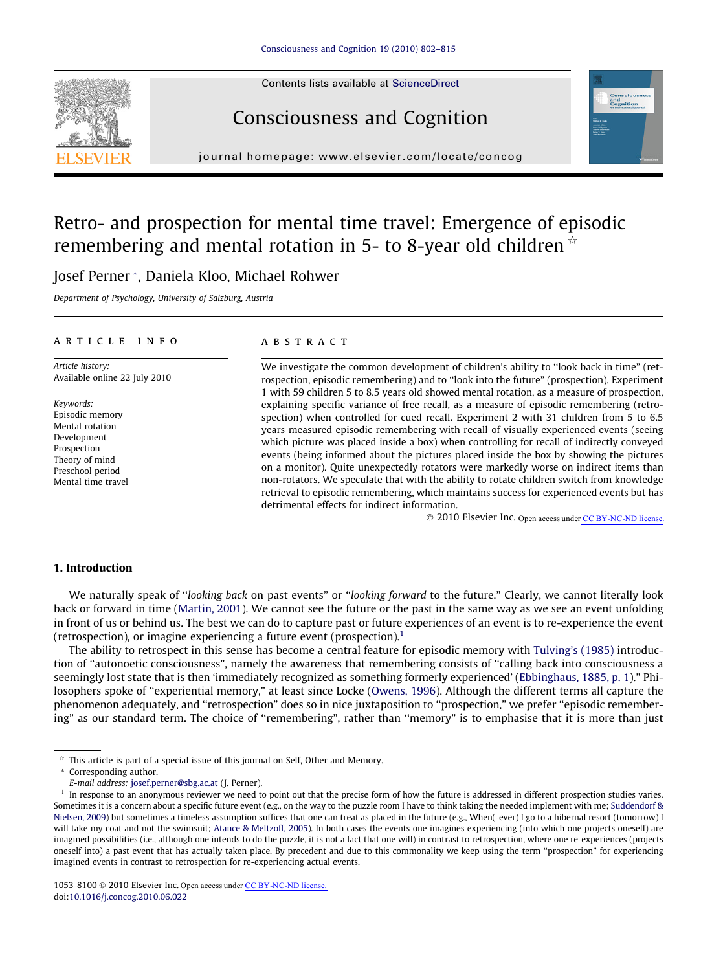Contents lists available at [ScienceDirect](http://www.sciencedirect.com/science/journal/10538100)

# Consciousness and Cognition

journal homepage: [www.elsevier.com/locate/concog](http://www.elsevier.com/locate/concog)

## Retro- and prospection for mental time travel: Emergence of episodic remembering and mental rotation in 5- to 8-year old children  $\dot{\mathbf{r}}$

### Josef Perner \*, Daniela Kloo, Michael Rohwer

Department of Psychology, University of Salzburg, Austria

### article info

Article history: Available online 22 July 2010

Keywords: Episodic memory Mental rotation Development Prospection Theory of mind Preschool period Mental time travel

#### **ABSTRACT**

We investigate the common development of children's ability to ''look back in time" (retrospection, episodic remembering) and to ''look into the future" (prospection). Experiment 1 with 59 children 5 to 8.5 years old showed mental rotation, as a measure of prospection, explaining specific variance of free recall, as a measure of episodic remembering (retrospection) when controlled for cued recall. Experiment 2 with 31 children from 5 to 6.5 years measured episodic remembering with recall of visually experienced events (seeing which picture was placed inside a box) when controlling for recall of indirectly conveyed events (being informed about the pictures placed inside the box by showing the pictures on a monitor). Quite unexpectedly rotators were markedly worse on indirect items than non-rotators. We speculate that with the ability to rotate children switch from knowledge retrieval to episodic remembering, which maintains success for experienced events but has detrimental effects for indirect information.

© 2010 Elsevier Inc. Open access under [CC BY-NC-ND license](http://creativecommons.org/licenses/by-nc-nd/3.0/).

### 1. Introduction

We naturally speak of "looking back on past events" or "looking forward to the future." Clearly, we cannot literally look back or forward in time [\(Martin, 2001\)](#page--1-0). We cannot see the future or the past in the same way as we see an event unfolding in front of us or behind us. The best we can do to capture past or future experiences of an event is to re-experience the event (retrospection), or imagine experiencing a future event (prospection).<sup>1</sup>

The ability to retrospect in this sense has become a central feature for episodic memory with [Tulving's \(1985\)](#page--1-0) introduction of ''autonoetic consciousness", namely the awareness that remembering consists of ''calling back into consciousness a seemingly lost state that is then 'immediately recognized as something formerly experienced' [\(Ebbinghaus, 1885, p. 1\)](#page--1-0)." Phi-losophers spoke of "experiential memory," at least since Locke [\(Owens, 1996](#page--1-0)). Although the different terms all capture the phenomenon adequately, and ''retrospection" does so in nice juxtaposition to ''prospection," we prefer ''episodic remembering" as our standard term. The choice of ''remembering", rather than ''memory" is to emphasise that it is more than just



 $*$  This article is part of a special issue of this journal on Self, Other and Memory.

<sup>\*</sup> Corresponding author.

E-mail address: [josef.perner@sbg.ac.at](mailto:josef.perner@sbg.ac.at) (J. Perner).

 $<sup>1</sup>$  In response to an anonymous reviewer we need to point out that the precise form of how the future is addressed in different prospection studies varies.</sup> Sometimes it is a concern about a specific future event (e.g., on the way to the puzzle room I have to think taking the needed implement with me; [Suddendorf &](#page--1-0) [Nielsen, 2009](#page--1-0)) but sometimes a timeless assumption suffices that one can treat as placed in the future (e.g., When(-ever) I go to a hibernal resort (tomorrow) I will take my coat and not the swimsuit; [Atance & Meltzoff, 2005\)](#page--1-0). In both cases the events one imagines experiencing (into which one projects oneself) are imagined possibilities (i.e., although one intends to do the puzzle, it is not a fact that one will) in contrast to retrospection, where one re-experiences (projects oneself into) a past event that has actually taken place. By precedent and due to this commonality we keep using the term ''prospection" for experiencing imagined events in contrast to retrospection for re-experiencing actual events.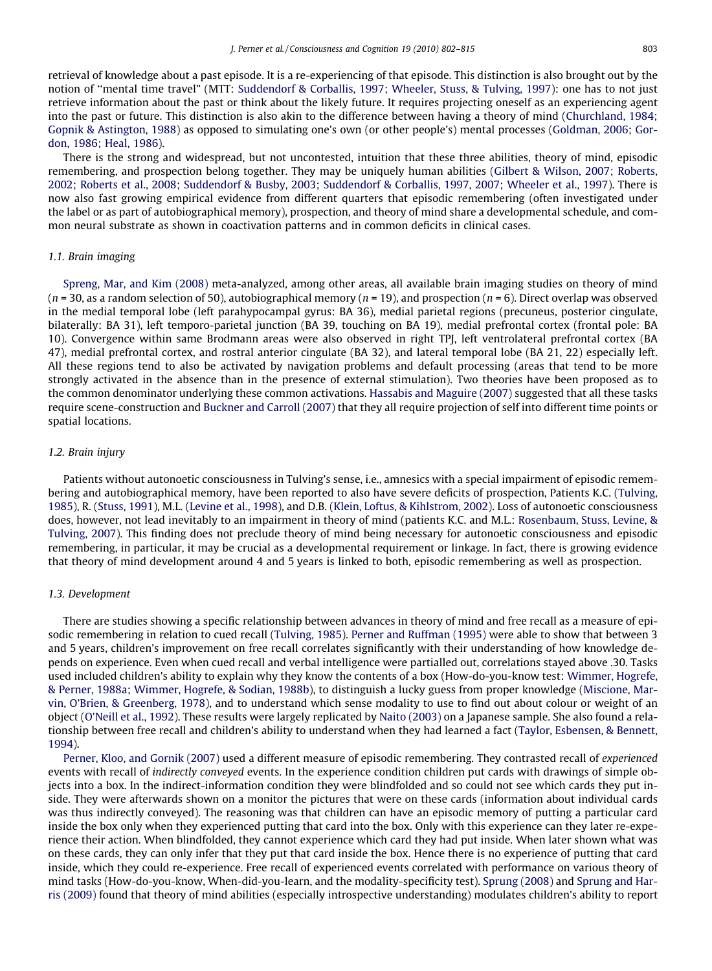retrieval of knowledge about a past episode. It is a re-experiencing of that episode. This distinction is also brought out by the notion of ''mental time travel" (MTT: [Suddendorf & Corballis, 1997; Wheeler, Stuss, & Tulving, 1997\)](#page--1-0): one has to not just retrieve information about the past or think about the likely future. It requires projecting oneself as an experiencing agent into the past or future. This distinction is also akin to the difference between having a theory of mind [\(Churchland, 1984;](#page--1-0) [Gopnik & Astington, 1988\)](#page--1-0) as opposed to simulating one's own (or other people's) mental processes ([Goldman, 2006; Gor](#page--1-0)[don, 1986; Heal, 1986](#page--1-0)).

There is the strong and widespread, but not uncontested, intuition that these three abilities, theory of mind, episodic remembering, and prospection belong together. They may be uniquely human abilities [\(Gilbert & Wilson, 2007; Roberts,](#page--1-0) [2002; Roberts et al., 2008; Suddendorf & Busby, 2003; Suddendorf & Corballis, 1997, 2007; Wheeler et al., 1997](#page--1-0)). There is now also fast growing empirical evidence from different quarters that episodic remembering (often investigated under the label or as part of autobiographical memory), prospection, and theory of mind share a developmental schedule, and common neural substrate as shown in coactivation patterns and in common deficits in clinical cases.

#### 1.1. Brain imaging

[Spreng, Mar, and Kim \(2008\)](#page--1-0) meta-analyzed, among other areas, all available brain imaging studies on theory of mind  $(n = 30, as a random selection of 50)$ , autobiographical memory  $(n = 19)$ , and prospection  $(n = 6)$ . Direct overlap was observed in the medial temporal lobe (left parahypocampal gyrus: BA 36), medial parietal regions (precuneus, posterior cingulate, bilaterally: BA 31), left temporo-parietal junction (BA 39, touching on BA 19), medial prefrontal cortex (frontal pole: BA 10). Convergence within same Brodmann areas were also observed in right TPJ, left ventrolateral prefrontal cortex (BA 47), medial prefrontal cortex, and rostral anterior cingulate (BA 32), and lateral temporal lobe (BA 21, 22) especially left. All these regions tend to also be activated by navigation problems and default processing (areas that tend to be more strongly activated in the absence than in the presence of external stimulation). Two theories have been proposed as to the common denominator underlying these common activations. [Hassabis and Maguire \(2007\)](#page--1-0) suggested that all these tasks require scene-construction and [Buckner and Carroll \(2007\)](#page--1-0) that they all require projection of self into different time points or spatial locations.

#### 1.2. Brain injury

Patients without autonoetic consciousness in Tulving's sense, i.e., amnesics with a special impairment of episodic remembering and autobiographical memory, have been reported to also have severe deficits of prospection, Patients K.C. ([Tulving,](#page--1-0) [1985\)](#page--1-0), R. ([Stuss, 1991](#page--1-0)), M.L. [\(Levine et al., 1998](#page--1-0)), and D.B. [\(Klein, Loftus, & Kihlstrom, 2002](#page--1-0)). Loss of autonoetic consciousness does, however, not lead inevitably to an impairment in theory of mind (patients K.C. and M.L.: [Rosenbaum, Stuss, Levine, &](#page--1-0) [Tulving, 2007\)](#page--1-0). This finding does not preclude theory of mind being necessary for autonoetic consciousness and episodic remembering, in particular, it may be crucial as a developmental requirement or linkage. In fact, there is growing evidence that theory of mind development around 4 and 5 years is linked to both, episodic remembering as well as prospection.

#### 1.3. Development

There are studies showing a specific relationship between advances in theory of mind and free recall as a measure of episodic remembering in relation to cued recall ([Tulving, 1985](#page--1-0)). [Perner and Ruffman \(1995\)](#page--1-0) were able to show that between 3 and 5 years, children's improvement on free recall correlates significantly with their understanding of how knowledge depends on experience. Even when cued recall and verbal intelligence were partialled out, correlations stayed above .30. Tasks used included children's ability to explain why they know the contents of a box (How-do-you-know test: [Wimmer, Hogrefe,](#page--1-0) [& Perner, 1988a; Wimmer, Hogrefe, & Sodian, 1988b](#page--1-0)), to distinguish a lucky guess from proper knowledge [\(Miscione, Mar](#page--1-0)[vin, O'Brien, & Greenberg, 1978](#page--1-0)), and to understand which sense modality to use to find out about colour or weight of an object ([O'Neill et al., 1992](#page--1-0)). These results were largely replicated by [Naito \(2003\)](#page--1-0) on a Japanese sample. She also found a relationship between free recall and children's ability to understand when they had learned a fact ([Taylor, Esbensen, & Bennett,](#page--1-0) [1994\)](#page--1-0).

[Perner, Kloo, and Gornik \(2007\)](#page--1-0) used a different measure of episodic remembering. They contrasted recall of experienced events with recall of indirectly conveyed events. In the experience condition children put cards with drawings of simple objects into a box. In the indirect-information condition they were blindfolded and so could not see which cards they put inside. They were afterwards shown on a monitor the pictures that were on these cards (information about individual cards was thus indirectly conveyed). The reasoning was that children can have an episodic memory of putting a particular card inside the box only when they experienced putting that card into the box. Only with this experience can they later re-experience their action. When blindfolded, they cannot experience which card they had put inside. When later shown what was on these cards, they can only infer that they put that card inside the box. Hence there is no experience of putting that card inside, which they could re-experience. Free recall of experienced events correlated with performance on various theory of mind tasks (How-do-you-know, When-did-you-learn, and the modality-specificity test). [Sprung \(2008\)](#page--1-0) and [Sprung and Har](#page--1-0)[ris \(2009\)](#page--1-0) found that theory of mind abilities (especially introspective understanding) modulates children's ability to report